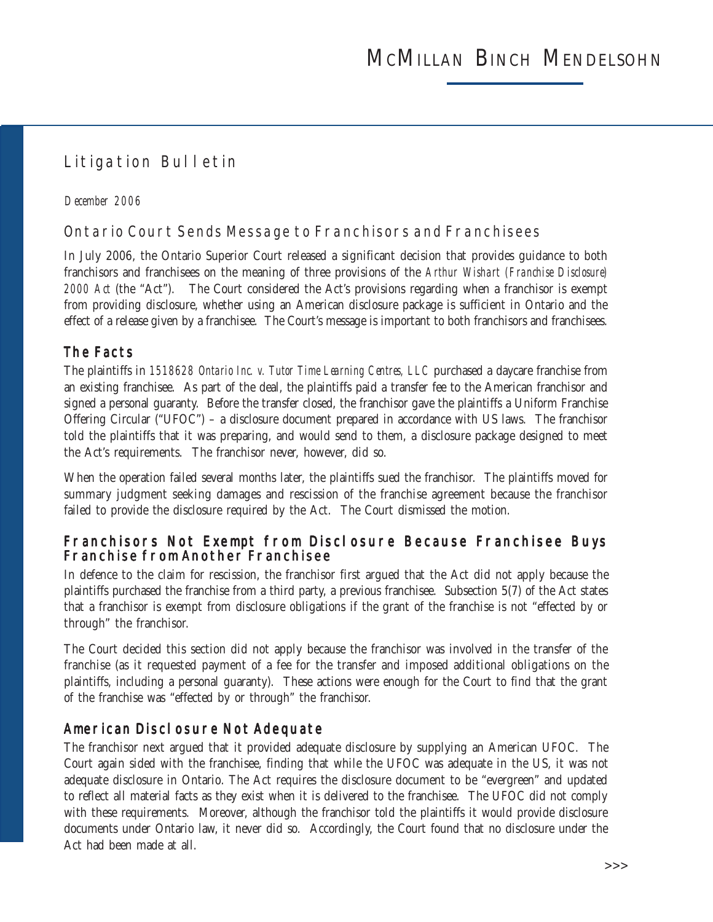# Litigation Bulletin

#### *December 2006*

### Ontario Court Sends Message to Franchisors and Franchisees

In July 2006, the Ontario Superior Court released a significant decision that provides guidance to both franchisors and franchisees on the meaning of three provisions of the *Arthur Wishart (Franchise Disclosure) 2000 Act* (the "Act"). The Court considered the Act's provisions regarding when a franchisor is exempt from providing disclosure, whether using an American disclosure package is sufficient in Ontario and the effect of a release given by a franchisee. The Court's message is important to both franchisors and franchisees.

#### The Facts

The plaintiffs in *1518628 Ontario Inc. v. Tutor Time Learning Centres, LLC* purchased a daycare franchise from an existing franchisee. As part of the deal, the plaintiffs paid a transfer fee to the American franchisor and signed a personal guaranty. Before the transfer closed, the franchisor gave the plaintiffs a Uniform Franchise Offering Circular ("UFOC") – a disclosure document prepared in accordance with US laws. The franchisor told the plaintiffs that it was preparing, and would send to them, a disclosure package designed to meet the Act's requirements. The franchisor never, however, did so.

When the operation failed several months later, the plaintiffs sued the franchisor. The plaintiffs moved for summary judgment seeking damages and rescission of the franchise agreement because the franchisor failed to provide the disclosure required by the Act. The Court dismissed the motion.

#### Franchisors Not Exempt from Disclosure Because Franchisee Buys Franchise from Another Franchisee

In defence to the claim for rescission, the franchisor first argued that the Act did not apply because the plaintiffs purchased the franchise from a third party, a previous franchisee. Subsection 5(7) of the Act states that a franchisor is exempt from disclosure obligations if the grant of the franchise is not "effected by or through" the franchisor.

The Court decided this section did not apply because the franchisor was involved in the transfer of the franchise (as it requested payment of a fee for the transfer and imposed additional obligations on the plaintiffs, including a personal guaranty). These actions were enough for the Court to find that the grant of the franchise was "effected by or through" the franchisor.

#### American Disclosure Not Adequate

The franchisor next argued that it provided adequate disclosure by supplying an American UFOC. The Court again sided with the franchisee, finding that while the UFOC was adequate in the US, it was not adequate disclosure in Ontario. The Act requires the disclosure document to be "evergreen" and updated to reflect all material facts as they exist when it is delivered to the franchisee. The UFOC did not comply with these requirements. Moreover, although the franchisor told the plaintiffs it would provide disclosure documents under Ontario law, it never did so. Accordingly, the Court found that no disclosure under the Act had been made at all.